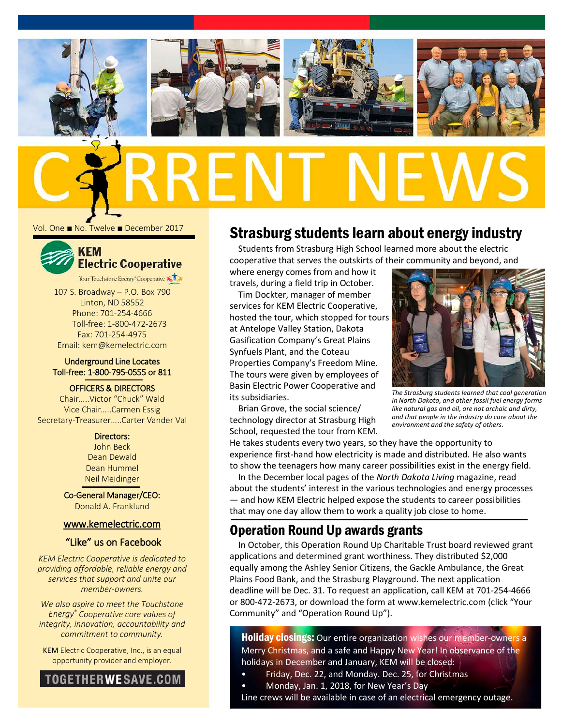

Vol. One ■ No. Twelve ■ December 2017



107 S. Broadway – P.O. Box 790 Linton, ND 58552 Phone: 701-254-4666 Toll-free: 1-800-472-2673 Fax: 701-254-4975 Email: kem@kemelectric.com

## Underground Line Locates Toll-free: 1-800-795-0555 or 811

OFFICERS & DIRECTORS

Chair…..Victor "Chuck" Wald Vice Chair…..Carmen Essig Secretary-Treasurer…..Carter Vander Val

### Directors:

John Beck Dean Dewald Dean Hummel Neil Meidinger

Co-General Manager/CEO: Donald A. Franklund

## [www.kemelectric.com](http://www.kemelectric.com/)

"Like" us on Facebook

*KEM Electric Cooperative is dedicated to providing affordable, reliable energy and services that support and unite our member-owners.*

*We also aspire to meet the Touchstone Energy® Cooperative core values of integrity, innovation, accountability and commitment to community.*

KEM Electric Cooperative, Inc., is an equal opportunity provider and employer.



# Strasburg students learn about energy industry

Students from Strasburg High School learned more about the electric cooperative that serves the outskirts of their community and beyond, and

where energy comes from and how it travels, during a field trip in October.

Tim Dockter, manager of member services for KEM Electric Cooperative, hosted the tour, which stopped for tours at Antelope Valley Station, Dakota Gasification Company's Great Plains Synfuels Plant, and the Coteau Properties Company's Freedom Mine. The tours were given by employees of Basin Electric Power Cooperative and its subsidiaries.

Brian Grove, the social science/ technology director at Strasburg High School, requested the tour from KEM.



*The Strasburg students learned that coal generation in North Dakota, and other fossil fuel energy forms like natural gas and oil, are not archaic and dirty, and that people in the industry do care about the environment and the safety of others.*

He takes students every two years, so they have the opportunity to experience first-hand how electricity is made and distributed. He also wants to show the teenagers how many career possibilities exist in the energy field.

In the December local pages of the *North Dakota Living* magazine, read about the students' interest in the various technologies and energy processes — and how KEM Electric helped expose the students to career possibilities that may one day allow them to work a quality job close to home.

# Operation Round Up awards grants

In October, this Operation Round Up Charitable Trust board reviewed grant applications and determined grant worthiness. They distributed \$2,000 equally among the Ashley Senior Citizens, the Gackle Ambulance, the Great Plains Food Bank, and the Strasburg Playground. The next application deadline will be Dec. 31. To request an application, call KEM at 701-254-4666 or 800-472-2673, or download the form at www.kemelectric.com (click "Your Community" and "Operation Round Up").

**Holiday closings:** Our entire organization wishes our member-owners a Merry Christmas, and a safe and Happy New Year! In observance of the holidays in December and January, KEM will be closed:

- Friday, Dec. 22, and Monday. Dec. 25, for Christmas
- Monday, Jan. 1, 2018, for New Year's Day

Line crews will be available in case of an electrical emergency outage.